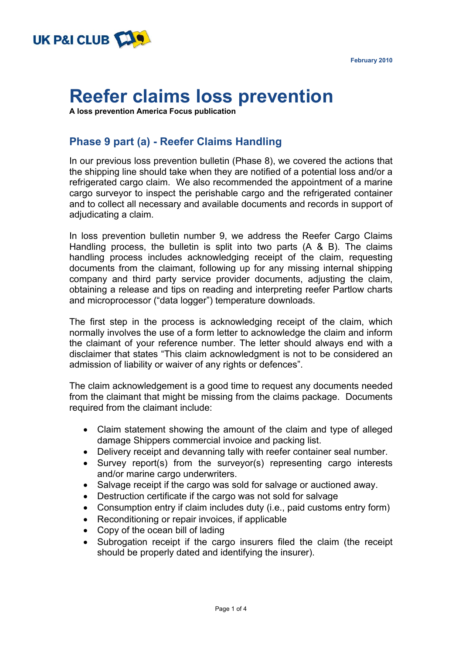



## **Reefer claims loss prevention**

**A loss prevention America Focus publication**

## **Phase 9 part (a) - Reefer Claims Handling**

In our previous loss prevention bulletin (Phase 8), we covered the actions that the shipping line should take when they are notified of a potential loss and/or a refrigerated cargo claim. We also recommended the appointment of a marine cargo surveyor to inspect the perishable cargo and the refrigerated container and to collect all necessary and available documents and records in support of adjudicating a claim.

In loss prevention bulletin number 9, we address the Reefer Cargo Claims Handling process, the bulletin is split into two parts (A & B). The claims handling process includes acknowledging receipt of the claim, requesting documents from the claimant, following up for any missing internal shipping company and third party service provider documents, adjusting the claim, obtaining a release and tips on reading and interpreting reefer Partlow charts and microprocessor ("data logger") temperature downloads.

The first step in the process is acknowledging receipt of the claim, which normally involves the use of a form letter to acknowledge the claim and inform the claimant of your reference number. The letter should always end with a disclaimer that states "This claim acknowledgment is not to be considered an admission of liability or waiver of any rights or defences".

The claim acknowledgement is a good time to request any documents needed from the claimant that might be missing from the claims package. Documents required from the claimant include:

- Claim statement showing the amount of the claim and type of alleged damage Shippers commercial invoice and packing list.
- Delivery receipt and devanning tally with reefer container seal number.
- Survey report(s) from the surveyor(s) representing cargo interests and/or marine cargo underwriters.
- Salvage receipt if the cargo was sold for salvage or auctioned away.
- Destruction certificate if the cargo was not sold for salvage
- Consumption entry if claim includes duty (i.e., paid customs entry form)
- $\bullet$  Reconditioning or repair invoices, if applicable
- Copy of the ocean bill of lading
- Subrogation receipt if the cargo insurers filed the claim (the receipt should be properly dated and identifying the insurer).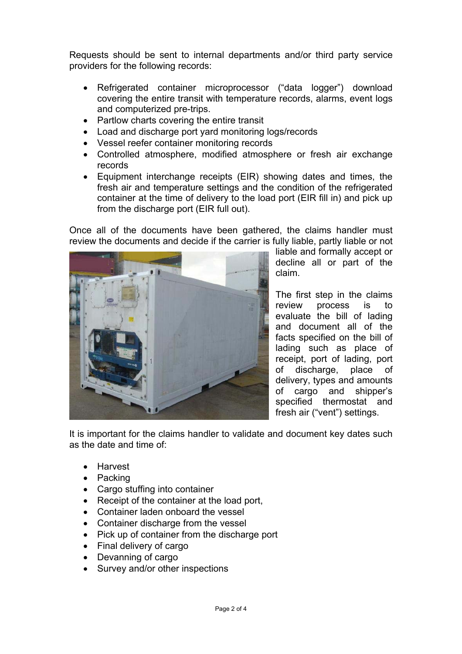Requests should be sent to internal departments and/or third party service providers for the following records:

- Refrigerated container microprocessor ("data logger") download covering the entire transit with temperature records, alarms, event logs and computerized pre-trips.
- Partlow charts covering the entire transit
- Load and discharge port vard monitoring logs/records
- Vessel reefer container monitoring records
- Controlled atmosphere, modified atmosphere or fresh air exchange records
- $\bullet$  Equipment interchange receipts (EIR) showing dates and times, the fresh air and temperature settings and the condition of the refrigerated container at the time of delivery to the load port (EIR fill in) and pick up from the discharge port (EIR full out).

Once all of the documents have been gathered, the claims handler must review the documents and decide if the carrier is fully liable, partly liable or not



liable and formally accept or decline all or part of the claim.

The first step in the claims review process is to evaluate the bill of lading and document all of the facts specified on the bill of lading such as place of receipt, port of lading, port of discharge, place of delivery, types and amounts of cargo and shipper's specified thermostat and fresh air ("vent") settings.

It is important for the claims handler to validate and document key dates such as the date and time of:

- Harvest
- $\bullet$  Packing
- Cargo stuffing into container
- Receipt of the container at the load port.
- Container laden onboard the vessel
- Container discharge from the vessel
- Pick up of container from the discharge port
- $\bullet$  Final delivery of cargo
- Devanning of cargo
- Survey and/or other inspections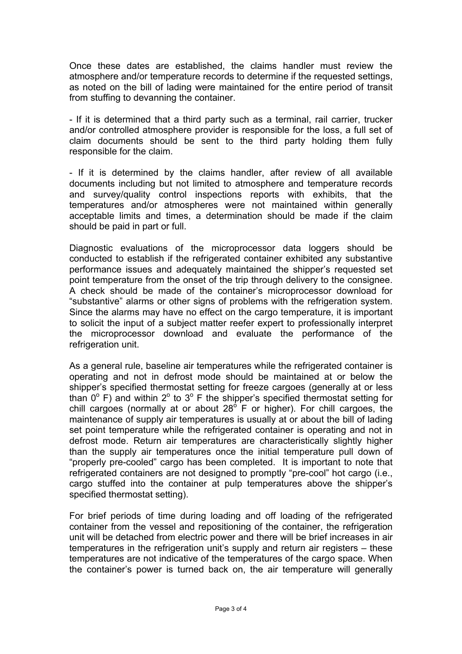Once these dates are established, the claims handler must review the atmosphere and/or temperature records to determine if the requested settings, as noted on the bill of lading were maintained for the entire period of transit from stuffing to devanning the container.

- If it is determined that a third party such as a terminal, rail carrier, trucker and/or controlled atmosphere provider is responsible for the loss, a full set of claim documents should be sent to the third party holding them fully responsible for the claim.

- If it is determined by the claims handler, after review of all available documents including but not limited to atmosphere and temperature records and survey/quality control inspections reports with exhibits, that the temperatures and/or atmospheres were not maintained within generally acceptable limits and times, a determination should be made if the claim should be paid in part or full.

Diagnostic evaluations of the microprocessor data loggers should be conducted to establish if the refrigerated container exhibited any substantive performance issues and adequately maintained the shipper's requested set point temperature from the onset of the trip through delivery to the consignee. A check should be made of the container's microprocessor download for "substantive" alarms or other signs of problems with the refrigeration system. Since the alarms may have no effect on the cargo temperature, it is important to solicit the input of a subject matter reefer expert to professionally interpret the microprocessor download and evaluate the performance of the refrigeration unit.

As a general rule, baseline air temperatures while the refrigerated container is operating and not in defrost mode should be maintained at or below the shipper's specified thermostat setting for freeze cargoes (generally at or less than  $0^{\circ}$  F) and within  $2^{\circ}$  to  $3^{\circ}$  F the shipper's specified thermostat setting for chill cargoes (normally at or about 28 $\degree$  F or higher). For chill cargoes, the maintenance of supply air temperatures is usually at or about the bill of lading set point temperature while the refrigerated container is operating and not in defrost mode. Return air temperatures are characteristically slightly higher than the supply air temperatures once the initial temperature pull down of "properly pre-cooled" cargo has been completed. It is important to note that refrigerated containers are not designed to promptly "pre-cool" hot cargo (i.e., cargo stuffed into the container at pulp temperatures above the shipper's specified thermostat setting).

For brief periods of time during loading and off loading of the refrigerated container from the vessel and repositioning of the container, the refrigeration unit will be detached from electric power and there will be brief increases in air temperatures in the refrigeration unit's supply and return air registers – these temperatures are not indicative of the temperatures of the cargo space. When the container's power is turned back on, the air temperature will generally